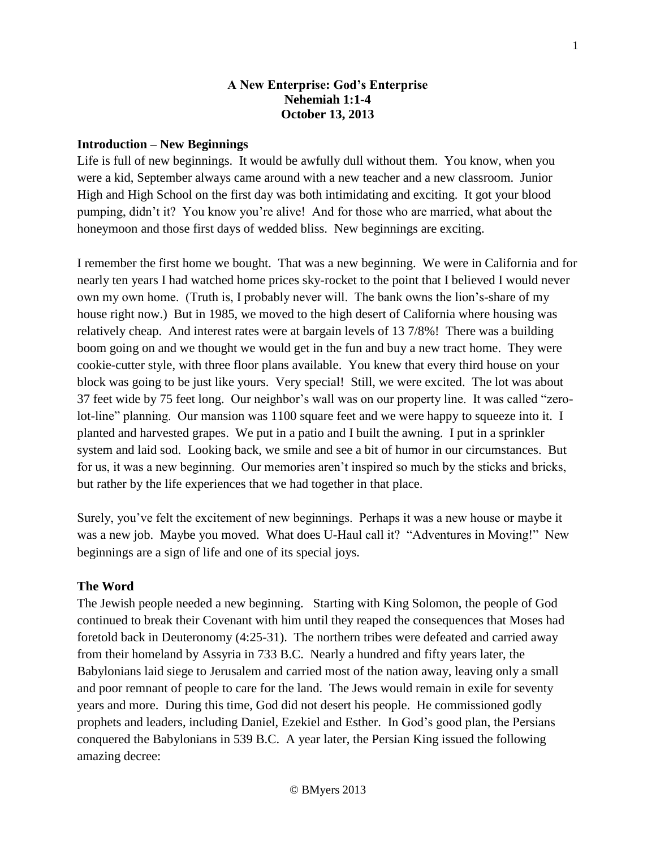### **A New Enterprise: God's Enterprise Nehemiah 1:1-4 October 13, 2013**

### **Introduction – New Beginnings**

Life is full of new beginnings. It would be awfully dull without them. You know, when you were a kid, September always came around with a new teacher and a new classroom. Junior High and High School on the first day was both intimidating and exciting. It got your blood pumping, didn't it? You know you're alive! And for those who are married, what about the honeymoon and those first days of wedded bliss. New beginnings are exciting.

I remember the first home we bought. That was a new beginning. We were in California and for nearly ten years I had watched home prices sky-rocket to the point that I believed I would never own my own home. (Truth is, I probably never will. The bank owns the lion's-share of my house right now.) But in 1985, we moved to the high desert of California where housing was relatively cheap. And interest rates were at bargain levels of 13 7/8%! There was a building boom going on and we thought we would get in the fun and buy a new tract home. They were cookie-cutter style, with three floor plans available. You knew that every third house on your block was going to be just like yours. Very special! Still, we were excited. The lot was about 37 feet wide by 75 feet long. Our neighbor's wall was on our property line. It was called "zerolot-line" planning. Our mansion was 1100 square feet and we were happy to squeeze into it. I planted and harvested grapes. We put in a patio and I built the awning. I put in a sprinkler system and laid sod. Looking back, we smile and see a bit of humor in our circumstances. But for us, it was a new beginning. Our memories aren't inspired so much by the sticks and bricks, but rather by the life experiences that we had together in that place.

Surely, you've felt the excitement of new beginnings. Perhaps it was a new house or maybe it was a new job. Maybe you moved. What does U-Haul call it? "Adventures in Moving!" New beginnings are a sign of life and one of its special joys.

### **The Word**

The Jewish people needed a new beginning. Starting with King Solomon, the people of God continued to break their Covenant with him until they reaped the consequences that Moses had foretold back in Deuteronomy (4:25-31). The northern tribes were defeated and carried away from their homeland by Assyria in 733 B.C. Nearly a hundred and fifty years later, the Babylonians laid siege to Jerusalem and carried most of the nation away, leaving only a small and poor remnant of people to care for the land. The Jews would remain in exile for seventy years and more. During this time, God did not desert his people. He commissioned godly prophets and leaders, including Daniel, Ezekiel and Esther. In God's good plan, the Persians conquered the Babylonians in 539 B.C. A year later, the Persian King issued the following amazing decree: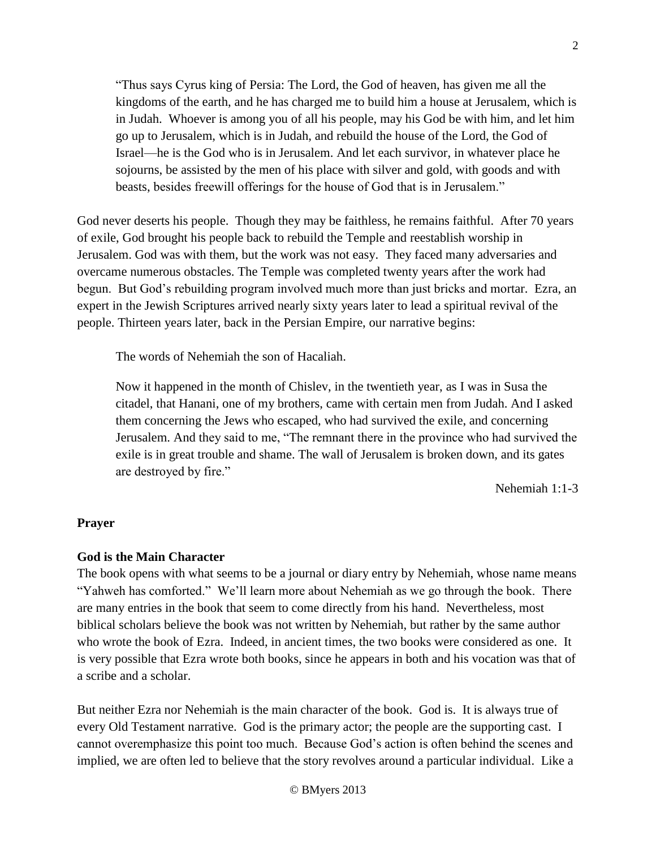"Thus says Cyrus king of Persia: The Lord, the God of heaven, has given me all the kingdoms of the earth, and he has charged me to build him a house at Jerusalem, which is in Judah. Whoever is among you of all his people, may his God be with him, and let him go up to Jerusalem, which is in Judah, and rebuild the house of the Lord, the God of Israel—he is the God who is in Jerusalem. And let each survivor, in whatever place he sojourns, be assisted by the men of his place with silver and gold, with goods and with beasts, besides freewill offerings for the house of God that is in Jerusalem."

God never deserts his people. Though they may be faithless, he remains faithful. After 70 years of exile, God brought his people back to rebuild the Temple and reestablish worship in Jerusalem. God was with them, but the work was not easy. They faced many adversaries and overcame numerous obstacles. The Temple was completed twenty years after the work had begun. But God's rebuilding program involved much more than just bricks and mortar. Ezra, an expert in the Jewish Scriptures arrived nearly sixty years later to lead a spiritual revival of the people. Thirteen years later, back in the Persian Empire, our narrative begins:

The words of Nehemiah the son of Hacaliah.

Now it happened in the month of Chislev, in the twentieth year, as I was in Susa the citadel, that Hanani, one of my brothers, came with certain men from Judah. And I asked them concerning the Jews who escaped, who had survived the exile, and concerning Jerusalem. And they said to me, "The remnant there in the province who had survived the exile is in great trouble and shame. The wall of Jerusalem is broken down, and its gates are destroyed by fire."

Nehemiah 1:1-3

#### **Prayer**

#### **God is the Main Character**

The book opens with what seems to be a journal or diary entry by Nehemiah, whose name means "Yahweh has comforted." We'll learn more about Nehemiah as we go through the book. There are many entries in the book that seem to come directly from his hand. Nevertheless, most biblical scholars believe the book was not written by Nehemiah, but rather by the same author who wrote the book of Ezra. Indeed, in ancient times, the two books were considered as one. It is very possible that Ezra wrote both books, since he appears in both and his vocation was that of a scribe and a scholar.

But neither Ezra nor Nehemiah is the main character of the book. God is. It is always true of every Old Testament narrative. God is the primary actor; the people are the supporting cast. I cannot overemphasize this point too much. Because God's action is often behind the scenes and implied, we are often led to believe that the story revolves around a particular individual. Like a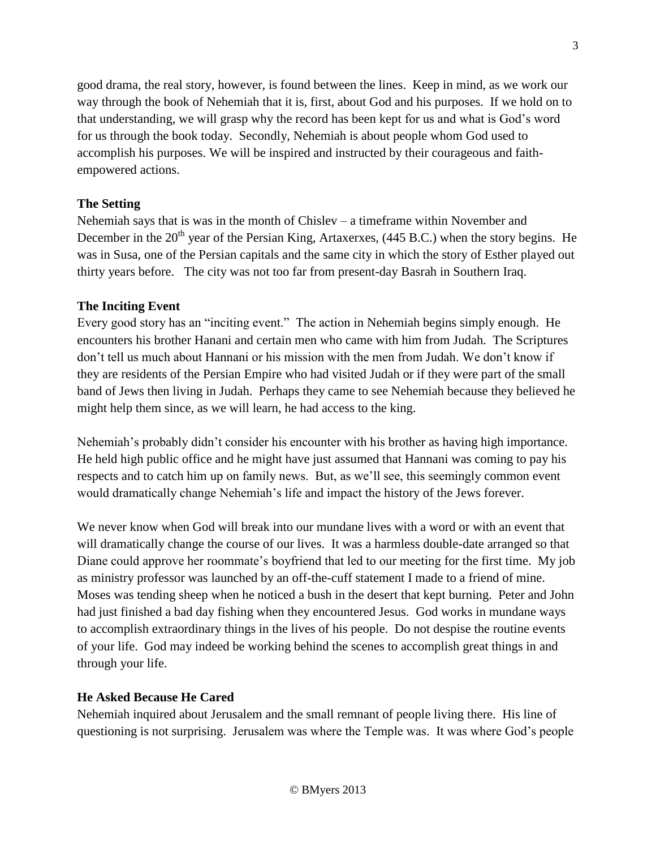good drama, the real story, however, is found between the lines. Keep in mind, as we work our way through the book of Nehemiah that it is, first, about God and his purposes. If we hold on to that understanding, we will grasp why the record has been kept for us and what is God's word for us through the book today. Secondly, Nehemiah is about people whom God used to accomplish his purposes. We will be inspired and instructed by their courageous and faithempowered actions.

## **The Setting**

Nehemiah says that is was in the month of Chislev – a timeframe within November and December in the  $20<sup>th</sup>$  year of the Persian King, Artaxerxes, (445 B.C.) when the story begins. He was in Susa, one of the Persian capitals and the same city in which the story of Esther played out thirty years before. The city was not too far from present-day Basrah in Southern Iraq.

## **The Inciting Event**

Every good story has an "inciting event." The action in Nehemiah begins simply enough. He encounters his brother Hanani and certain men who came with him from Judah. The Scriptures don't tell us much about Hannani or his mission with the men from Judah. We don't know if they are residents of the Persian Empire who had visited Judah or if they were part of the small band of Jews then living in Judah. Perhaps they came to see Nehemiah because they believed he might help them since, as we will learn, he had access to the king.

Nehemiah's probably didn't consider his encounter with his brother as having high importance. He held high public office and he might have just assumed that Hannani was coming to pay his respects and to catch him up on family news. But, as we'll see, this seemingly common event would dramatically change Nehemiah's life and impact the history of the Jews forever.

We never know when God will break into our mundane lives with a word or with an event that will dramatically change the course of our lives. It was a harmless double-date arranged so that Diane could approve her roommate's boyfriend that led to our meeting for the first time. My job as ministry professor was launched by an off-the-cuff statement I made to a friend of mine. Moses was tending sheep when he noticed a bush in the desert that kept burning. Peter and John had just finished a bad day fishing when they encountered Jesus. God works in mundane ways to accomplish extraordinary things in the lives of his people. Do not despise the routine events of your life. God may indeed be working behind the scenes to accomplish great things in and through your life.

## **He Asked Because He Cared**

Nehemiah inquired about Jerusalem and the small remnant of people living there. His line of questioning is not surprising. Jerusalem was where the Temple was. It was where God's people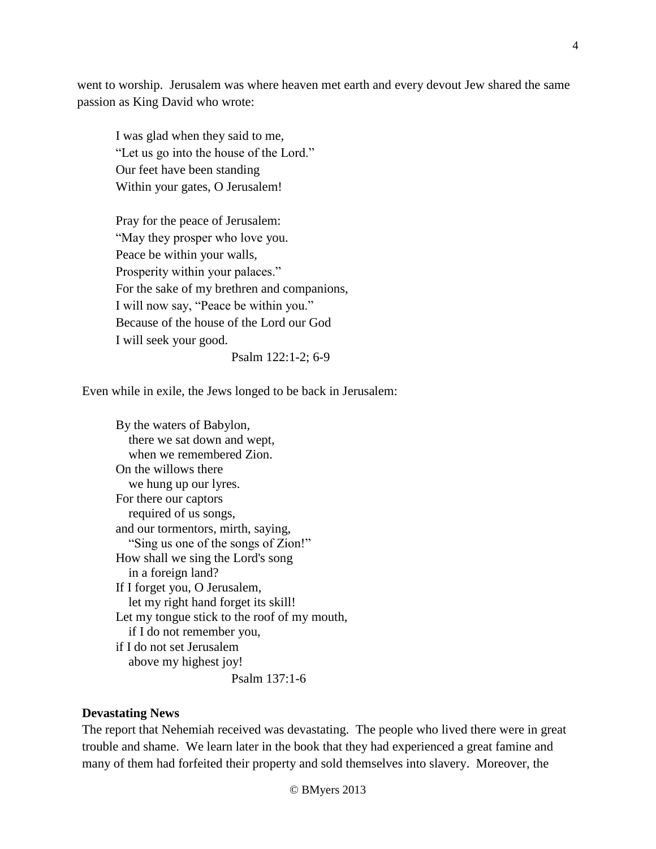went to worship. Jerusalem was where heaven met earth and every devout Jew shared the same passion as King David who wrote:

I was glad when they said to me, "Let us go into the house of the Lord." Our feet have been standing Within your gates, O Jerusalem!

Pray for the peace of Jerusalem: "May they prosper who love you. Peace be within your walls, Prosperity within your palaces." For the sake of my brethren and companions, I will now say, "Peace be within you." Because of the house of the Lord our God I will seek your good.

Psalm 122:1-2; 6-9

Even while in exile, the Jews longed to be back in Jerusalem:

By the waters of Babylon, there we sat down and wept, when we remembered Zion. On the willows there we hung up our lyres. For there our captors required of us songs, and our tormentors, mirth, saying, "Sing us one of the songs of Zion!" How shall we sing the Lord's song in a foreign land? If I forget you, O Jerusalem, let my right hand forget its skill! Let my tongue stick to the roof of my mouth, if I do not remember you, if I do not set Jerusalem above my highest joy! Psalm 137:1-6

### **Devastating News**

The report that Nehemiah received was devastating. The people who lived there were in great trouble and shame. We learn later in the book that they had experienced a great famine and many of them had forfeited their property and sold themselves into slavery. Moreover, the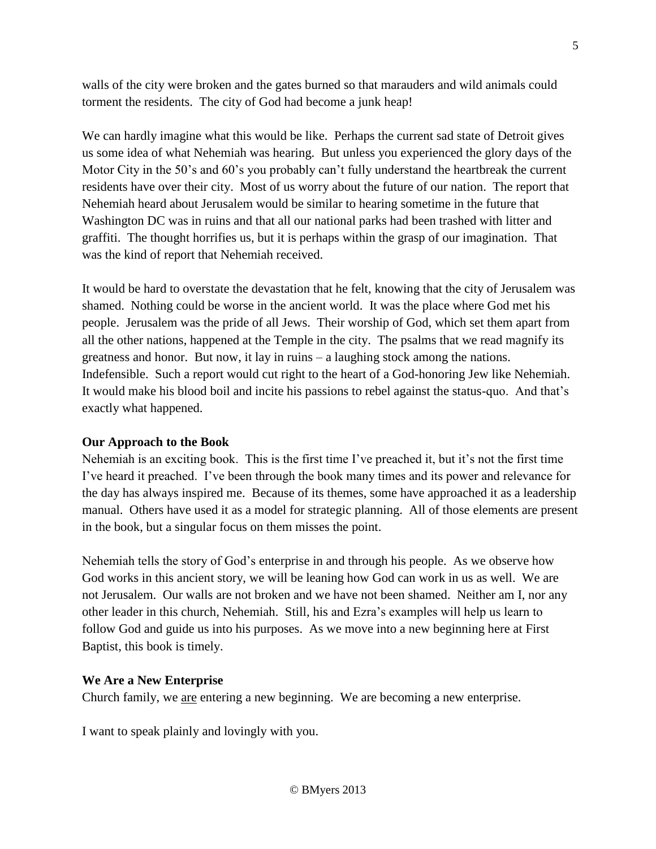walls of the city were broken and the gates burned so that marauders and wild animals could torment the residents. The city of God had become a junk heap!

We can hardly imagine what this would be like. Perhaps the current sad state of Detroit gives us some idea of what Nehemiah was hearing. But unless you experienced the glory days of the Motor City in the 50's and 60's you probably can't fully understand the heartbreak the current residents have over their city. Most of us worry about the future of our nation. The report that Nehemiah heard about Jerusalem would be similar to hearing sometime in the future that Washington DC was in ruins and that all our national parks had been trashed with litter and graffiti. The thought horrifies us, but it is perhaps within the grasp of our imagination. That was the kind of report that Nehemiah received.

It would be hard to overstate the devastation that he felt, knowing that the city of Jerusalem was shamed. Nothing could be worse in the ancient world. It was the place where God met his people. Jerusalem was the pride of all Jews. Their worship of God, which set them apart from all the other nations, happened at the Temple in the city. The psalms that we read magnify its greatness and honor. But now, it lay in ruins – a laughing stock among the nations. Indefensible. Such a report would cut right to the heart of a God-honoring Jew like Nehemiah. It would make his blood boil and incite his passions to rebel against the status-quo. And that's exactly what happened.

## **Our Approach to the Book**

Nehemiah is an exciting book. This is the first time I've preached it, but it's not the first time I've heard it preached. I've been through the book many times and its power and relevance for the day has always inspired me. Because of its themes, some have approached it as a leadership manual. Others have used it as a model for strategic planning. All of those elements are present in the book, but a singular focus on them misses the point.

Nehemiah tells the story of God's enterprise in and through his people. As we observe how God works in this ancient story, we will be leaning how God can work in us as well. We are not Jerusalem. Our walls are not broken and we have not been shamed. Neither am I, nor any other leader in this church, Nehemiah. Still, his and Ezra's examples will help us learn to follow God and guide us into his purposes. As we move into a new beginning here at First Baptist, this book is timely.

### **We Are a New Enterprise**

Church family, we are entering a new beginning. We are becoming a new enterprise.

I want to speak plainly and lovingly with you.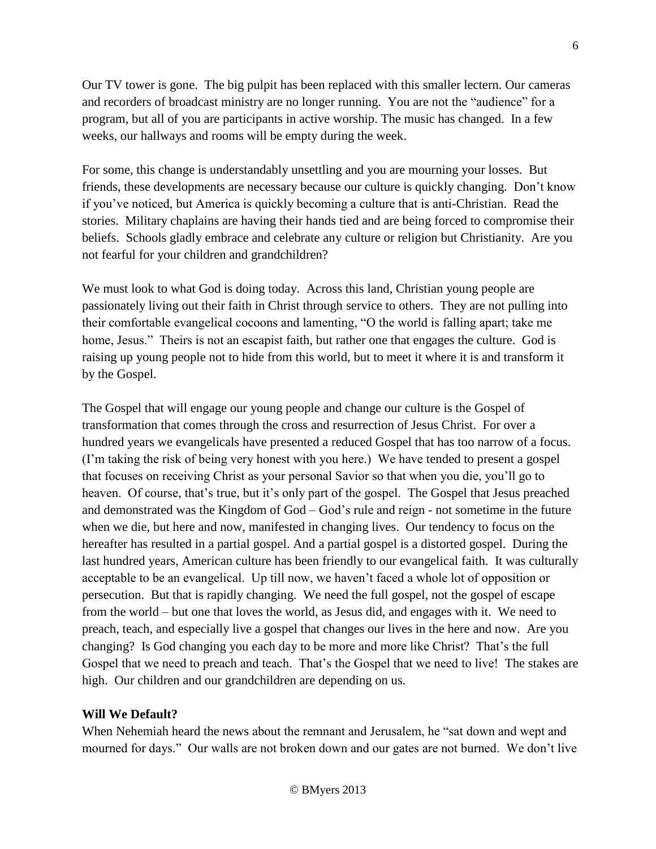Our TV tower is gone. The big pulpit has been replaced with this smaller lectern. Our cameras and recorders of broadcast ministry are no longer running. You are not the "audience" for a program, but all of you are participants in active worship. The music has changed. In a few weeks, our hallways and rooms will be empty during the week.

For some, this change is understandably unsettling and you are mourning your losses. But friends, these developments are necessary because our culture is quickly changing. Don't know if you've noticed, but America is quickly becoming a culture that is anti-Christian. Read the stories. Military chaplains are having their hands tied and are being forced to compromise their beliefs. Schools gladly embrace and celebrate any culture or religion but Christianity. Are you not fearful for your children and grandchildren?

We must look to what God is doing today. Across this land, Christian young people are passionately living out their faith in Christ through service to others. They are not pulling into their comfortable evangelical cocoons and lamenting, "O the world is falling apart; take me home, Jesus." Theirs is not an escapist faith, but rather one that engages the culture. God is raising up young people not to hide from this world, but to meet it where it is and transform it by the Gospel.

The Gospel that will engage our young people and change our culture is the Gospel of transformation that comes through the cross and resurrection of Jesus Christ. For over a hundred years we evangelicals have presented a reduced Gospel that has too narrow of a focus. (I'm taking the risk of being very honest with you here.) We have tended to present a gospel that focuses on receiving Christ as your personal Savior so that when you die, you'll go to heaven. Of course, that's true, but it's only part of the gospel. The Gospel that Jesus preached and demonstrated was the Kingdom of God – God's rule and reign - not sometime in the future when we die, but here and now, manifested in changing lives. Our tendency to focus on the hereafter has resulted in a partial gospel. And a partial gospel is a distorted gospel. During the last hundred years, American culture has been friendly to our evangelical faith. It was culturally acceptable to be an evangelical. Up till now, we haven't faced a whole lot of opposition or persecution. But that is rapidly changing. We need the full gospel, not the gospel of escape from the world – but one that loves the world, as Jesus did, and engages with it. We need to preach, teach, and especially live a gospel that changes our lives in the here and now. Are you changing? Is God changing you each day to be more and more like Christ? That's the full Gospel that we need to preach and teach. That's the Gospel that we need to live! The stakes are high. Our children and our grandchildren are depending on us.

## **Will We Default?**

When Nehemiah heard the news about the remnant and Jerusalem, he "sat down and wept and mourned for days." Our walls are not broken down and our gates are not burned. We don't live